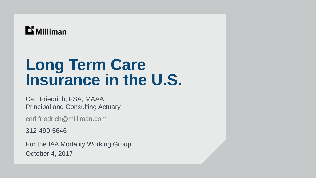# $\mathbf{D}$  Milliman

# **Long Term Care Insurance in the U.S.**

Carl Friedrich, FSA, MAAA Principal and Consulting Actuary

[carl.friedrich@milliman.com](mailto:carl.friedrich@milliman.com)

312-499-5646

For the IAA Mortality Working Group October 4, 2017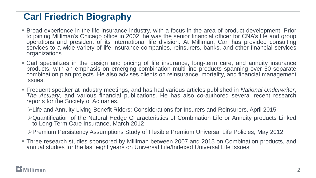## **Carl Friedrich Biography**

- **Broad experience in the life insurance industry, with a focus in the area of product development. Prior** to joining Milliman's Chicago office in 2002, he was the senior financial officer for CNA's life and group operations and president of its international life division. At Milliman, Carl has provided consulting services to a wide variety of life insurance companies, reinsurers, banks, and other financial services organizations.
- Carl specializes in the design and pricing of life insurance, long-term care, and annuity insurance products, with an emphasis on emerging combination multi-line products spanning over 50 separate combination plan projects. He also advises clients on reinsurance, mortality, and financial management issues.
- Frequent speaker at industry meetings, and has had various articles published in *National Underwriter*, *The Actuary*, and various financial publications. He has also co-authored several recent research reports for the Society of Actuaries.
	- ➢Life and Annuity Living Benefit Riders: Considerations for Insurers and Reinsurers, April 2015
	- ➢Quantification of the Natural Hedge Characteristics of Combination Life or Annuity products Linked to Long-Term Care Insurance, March 2012

➢Premium Persistency Assumptions Study of Flexible Premium Universal Life Policies, May 2012

▪ Three research studies sponsored by Milliman between 2007 and 2015 on Combination products, and annual studies for the last eight years on Universal Life/Indexed Universal Life Issues

####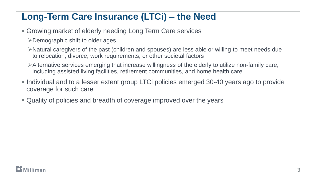## **Long-Term Care Insurance (LTCi) – the Need**

- Growing market of elderly needing Long Term Care services
	- ➢Demographic shift to older ages
	- ➢Natural caregivers of the past (children and spouses) are less able or willing to meet needs due to relocation, divorce, work requirements, or other societal factors
	- ➢Alternative services emerging that increase willingness of the elderly to utilize non-family care, including assisted living facilities, retirement communities, and home health care
- **Individual and to a lesser extent group LTCi policies emerged 30-40 years ago to provide** coverage for such care
- Quality of policies and breadth of coverage improved over the years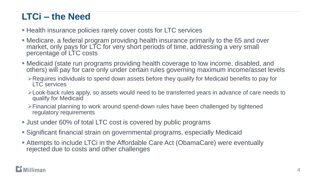#### **LTCi – the Need**

**EXA** Health insurance policies rarely cover costs for LTC services

- Medicare, a federal program providing health insurance primarily to the 65 and over market, only pays for LTC for very short periods of time, addressing a very small percentage of LTC costs
- Medicaid (state run programs providing health coverage to low income, disabled, and others) will pay for care only under certain rules governing maximum income/asset levels
	- ➢Requires individuals to spend down assets before they qualify for Medicaid benefits to pay for LTC services
	- ➢Look-back rules apply, so assets would need to be transferred years in advance of care needs to qualify for Medicaid
	- ➢Financial planning to work around spend-down rules have been challenged by tightened regulatory requirements
- **Just under 60% of total LTC cost is covered by public programs**
- **Significant financial strain on governmental programs, especially Medicaid**
- **EXTERGHEEV Attempts to include LTCi in the Affordable Care Act (ObamaCare) were eventually** rejected due to costs and other challenges

#### $\mathbf{\mathbf{\mathsf{\Xi}}}$  Milliman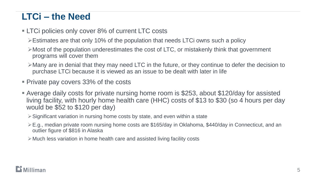#### **LTCi – the Need**

- LTCi policies only cover 8% of current LTC costs
	- ➢Estimates are that only 10% of the population that needs LTCi owns such a policy
	- $\triangleright$  Most of the population underestimates the cost of LTC, or mistakenly think that government programs will cover them
	- ➢Many are in denial that they may need LTC in the future, or they continue to defer the decision to purchase LTCi because it is viewed as an issue to be dealt with later in life
- Private pay covers 33% of the costs
- **E** Average daily costs for private nursing home room is \$253, about \$120/day for assisted living facility, with hourly home health care (HHC) costs of \$13 to \$30 (so 4 hours per day would be \$52 to \$120 per day)
	- ➢Significant variation in nursing home costs by state, and even within a state
	- ➢E.g., median private room nursing home costs are \$165/day in Oklahoma, \$440/day in Connecticut, and an outlier figure of \$816 in Alaska
	- ➢Much less variation in home health care and assisted living facility costs

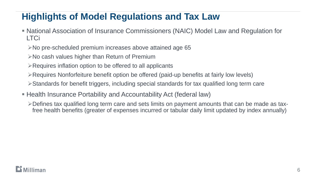#### **Highlights of Model Regulations and Tax Law**

- National Association of Insurance Commissioners (NAIC) Model Law and Regulation for LTCi
	- ➢No pre-scheduled premium increases above attained age 65
	- ➢No cash values higher than Return of Premium
	- ➢Requires inflation option to be offered to all applicants
	- ➢Requires Nonforfeiture benefit option be offered (paid-up benefits at fairly low levels)
	- ➢Standards for benefit triggers, including special standards for tax qualified long term care
- Health Insurance Portability and Accountability Act (federal law)
	- ➢Defines tax qualified long term care and sets limits on payment amounts that can be made as taxfree health benefits (greater of expenses incurred or tabular daily limit updated by index annually)

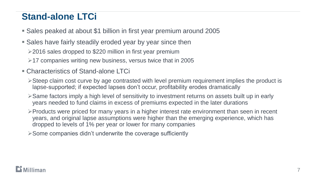#### **Stand-alone LTCi**

- Sales peaked at about \$1 billion in first year premium around 2005
- Sales have fairly steadily eroded year by year since then ➢2016 sales dropped to \$220 million in first year premium
	- $\geq$  17 companies writing new business, versus twice that in 2005
- Characteristics of Stand-alone LTCi
	- ➢Steep claim cost curve by age contrasted with level premium requirement implies the product is lapse-supported; if expected lapses don't occur, profitability erodes dramatically
	- ➢Same factors imply a high level of sensitivity to investment returns on assets built up in early years needed to fund claims in excess of premiums expected in the later durations
	- ➢Products were priced for many years in a higher interest rate environment than seen in recent years, and original lapse assumptions were higher than the emerging experience, which has dropped to levels of 1% per year or lower for many companies
	- ➢Some companies didn't underwrite the coverage sufficiently

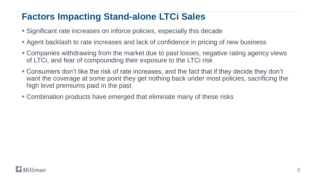### **Factors Impacting Stand-alone LTCi Sales**

- **E** Significant rate increases on inforce policies, especially this decade
- Agent backlash to rate increases and lack of confidence in pricing of new business
- Companies withdrawing from the market due to past losses, negative rating agency views of LTCi, and fear of compounding their exposure to the LTCi risk
- **Example 1** Consumers don't like the risk of rate increases, and the fact that if they decide they don't want the coverage at some point they get nothing back under most policies, sacrificing the high level premiums paid in the past
- **Combination products have emerged that eliminate many of these risks**

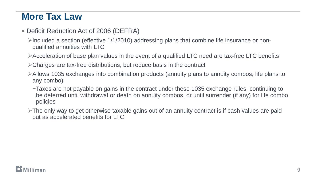#### **More Tax Law**

- **Deficit Reduction Act of 2006 (DEFRA)** 
	- $\triangleright$ Included a section (effective 1/1/2010) addressing plans that combine life insurance or nonqualified annuities with LTC
	- ➢Acceleration of base plan values in the event of a qualified LTC need are tax-free LTC benefits
	- ➢Charges are tax-free distributions, but reduce basis in the contract
	- ➢Allows 1035 exchanges into combination products (annuity plans to annuity combos, life plans to any combo)
		- −Taxes are not payable on gains in the contract under these 1035 exchange rules, continuing to be deferred until withdrawal or death on annuity combos, or until surrender (if any) for life combo policies
	- ➢The only way to get otherwise taxable gains out of an annuity contract is if cash values are paid out as accelerated benefits for LTC

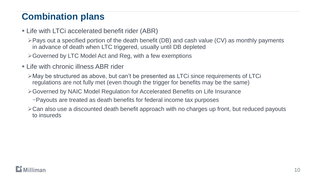## **Combination plans**

- **Example 2 Life with LTCi accelerated benefit rider (ABR)** 
	- ➢Pays out a specified portion of the death benefit (DB) and cash value (CV) as monthly payments in advance of death when LTC triggered, usually until DB depleted
	- ➢Governed by LTC Model Act and Reg, with a few exemptions
- **Example 1 Life with chronic illness ABR rider** 
	- ➢May be structured as above, but can't be presented as LTCi since requirements of LTCi regulations are not fully met (even though the trigger for benefits may be the same)
	- ➢Governed by NAIC Model Regulation for Accelerated Benefits on Life Insurance
		- −Payouts are treated as death benefits for federal income tax purposes
	- ➢Can also use a discounted death benefit approach with no charges up front, but reduced payouts to insureds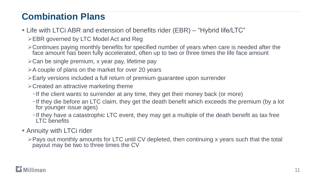## **Combination Plans**

- Life with LTCi ABR and extension of benefits rider (EBR) "Hybrid life/LTC"
	- ➢EBR governed by LTC Model Act and Reg
	- ➢Continues paying monthly benefits for specified number of years when care is needed after the face amount has been fully accelerated, often up to two or three times the life face amount
	- ➢Can be single premium, x year pay, lifetime pay
	- ➢A couple of plans on the market for over 20 years
	- ➢Early versions included a full return of premium guarantee upon surrender
	- ➢Created an attractive marketing theme
		- −If the client wants to surrender at any time, they get their money back (or more)
		- −If they die before an LTC claim, they get the death benefit which exceeds the premium (by a lot for younger issue ages)
		- −If they have a catastrophic LTC event, they may get a multiple of the death benefit as tax free LTC benefits
- **E** Annuity with LTCi rider
	- ➢Pays out monthly amounts for LTC until CV depleted, then continuing x years such that the total payout may be two to three times the CV

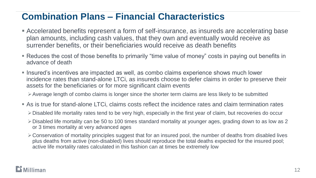#### **Combination Plans – Financial Characteristics**

- Accelerated benefits represent a form of self-insurance, as insureds are accelerating base plan amounts, including cash values, that they own and eventually would receive as surrender benefits, or their beneficiaries would receive as death benefits
- Reduces the cost of those benefits to primarily "time value of money" costs in paying out benefits in advance of death
- **.** Insured's incentives are impacted as well, as combo claims experience shows much lower incidence rates than stand-alone LTCi, as insureds choose to defer claims in order to preserve their assets for the beneficiaries or for more significant claim events

➢Average length of combo claims is longer since the shorter term claims are less likely to be submitted

- **Example 1** As is true for stand-alone LTCi, claims costs reflect the incidence rates and claim termination rates
	- ➢Disabled life mortality rates tend to be very high, especially in the first year of claim, but recoveries do occur
	- ➢Disabled life mortality can be 50 to 100 times standard mortality at younger ages, grading down to as low as 2 or 3 times mortality at very advanced ages
	- ➢Conservation of mortality principles suggest that for an insured pool, the number of deaths from disabled lives plus deaths from active (non-disabled) lives should reproduce the total deaths expected for the insured pool; active life mortality rates calculated in this fashion can at times be extremely low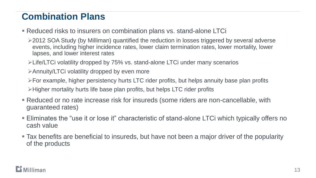## **Combination Plans**

- Reduced risks to insurers on combination plans vs. stand-alone LTCi
	- ➢2012 SOA Study (by Milliman) quantified the reduction in losses triggered by several adverse events, including higher incidence rates, lower claim termination rates, lower mortality, lower lapses, and lower interest rates
	- ➢Life/LTCi volatility dropped by 75% vs. stand-alone LTCi under many scenarios
	- ➢Annuity/LTCi volatility dropped by even more

➢For example, higher persistency hurts LTC rider profits, but helps annuity base plan profits ➢Higher mortality hurts life base plan profits, but helps LTC rider profits

- Reduced or no rate increase risk for insureds (some riders are non-cancellable, with guaranteed rates)
- **Eliminates the "use it or lose it" characteristic of stand-alone LTCi which typically offers no** cash value
- Tax benefits are beneficial to insureds, but have not been a major driver of the popularity of the products

#### **Milliman**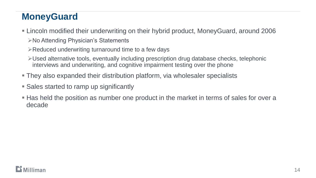## **MoneyGuard**

- Lincoln modified their underwriting on their hybrid product, MoneyGuard, around 2006 ➢No Attending Physician's Statements
	- ➢Reduced underwriting turnaround time to a few days
	- ➢Used alternative tools, eventually including prescription drug database checks, telephonic interviews and underwriting, and cognitive impairment testing over the phone
- They also expanded their distribution platform, via wholesaler specialists
- Sales started to ramp up significantly
- **Has held the position as number one product in the market in terms of sales for over a** decade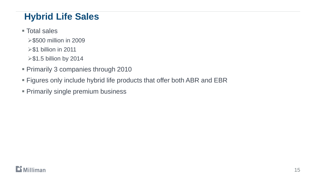## **Hybrid Life Sales**

- Total sales
	- ➢\$500 million in 2009
	- ➢\$1 billion in 2011
	- ➢\$1.5 billion by 2014
- **Primarily 3 companies through 2010**
- **Example 3 Figures only include hybrid life products that offer both ABR and EBR**
- **Primarily single premium business**

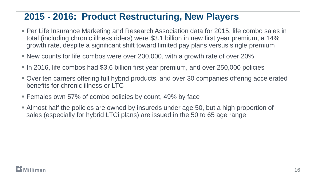#### **2015 - 2016: Product Restructuring, New Players**

- Per Life Insurance Marketing and Research Association data for 2015, life combo sales in total (including chronic illness riders) were \$3.1 billion in new first year premium, a 14% growth rate, despite a significant shift toward limited pay plans versus single premium
- New counts for life combos were over 200,000, with a growth rate of over 20%
- **In 2016, life combos had \$3.6 billion first year premium, and over 250,000 policies**
- **Over ten carriers offering full hybrid products, and over 30 companies offering accelerated** benefits for chronic illness or LTC
- Females own 57% of combo policies by count, 49% by face
- **E** Almost half the policies are owned by insureds under age 50, but a high proportion of sales (especially for hybrid LTCi plans) are issued in the 50 to 65 age range

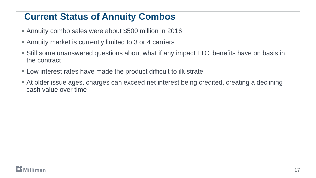#### **Current Status of Annuity Combos**

- **EXALGE 10 Annuity combo sales were about \$500 million in 2016**
- **E** Annuity market is currently limited to 3 or 4 carriers
- **Still some unanswered questions about what if any impact LTCi benefits have on basis in** the contract
- **EXA)** Low interest rates have made the product difficult to illustrate
- **At older issue ages, charges can exceed net interest being credited, creating a declining** cash value over time

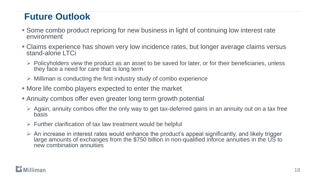#### **Future Outlook**

- **Some combo product repricing for new business in light of continuing low interest rate** environment
- Claims experience has shown very low incidence rates, but longer average claims versus stand-alone LTCi
	- $\triangleright$  Policyholders view the product as an asset to be saved for later, or for their beneficiaries, unless they face a need for care that is long term
	- $\triangleright$  Milliman is conducting the first industry study of combo experience
- More life combo players expected to enter the market
- **E** Annuity combos offer even greater long term growth potential
	- $\triangleright$  Again, annuity combos offer the only way to get tax-deferred gains in an annuity out on a tax free basis
	- $\triangleright$  Further clarification of tax law treatment would be helpful
	- $\triangleright$  An increase in interest rates would enhance the product's appeal significantly, and likely trigger large amounts of exchanges from the \$750 billion in non-qualified inforce annuities in the US to new combination annuities